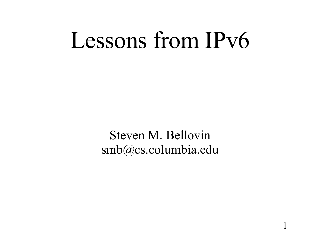# Lessons from IPv6

Steven M. Bellovin smb@cs.columbia.edu

1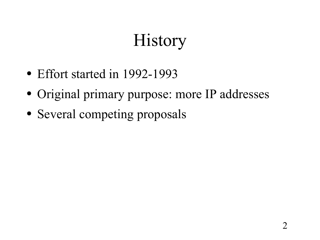## **History**

- Effort started in 1992-1993
- Original primary purpose: more IP addresses
- Several competing proposals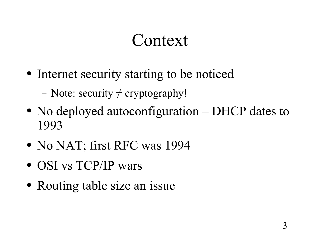#### Context

- Internet security starting to be noticed
	- Note: security  $\neq$  cryptography!
- No deployed autoconfiguration DHCP dates to 1993
- No NAT; first RFC was 1994
- OSI vs TCP/IP wars
- Routing table size an issue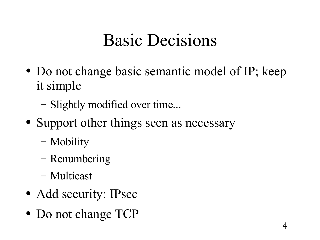## Basic Decisions

- Do not change basic semantic model of IP; keep it simple
	- Slightly modified over time...
- Support other things seen as necessary
	- Mobility
	- Renumbering
	- Multicast
- Add security: IPsec
- Do not change TCP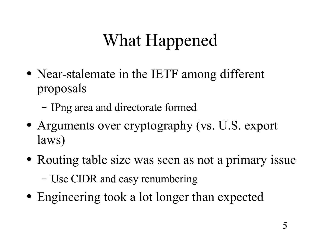# What Happened

- Near-stalemate in the IETF among different proposals
	- IPng area and directorate formed
- Arguments over cryptography (vs. U.S. export laws)
- Routing table size was seen as not a primary issue
	- Use CIDR and easy renumbering
- Engineering took a lot longer than expected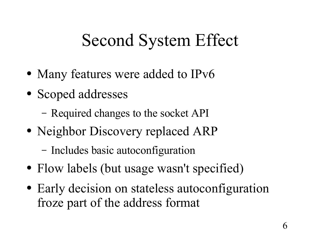## Second System Effect

- Many features were added to IPv6
- Scoped addresses
	- Required changes to the socket API
- Neighbor Discovery replaced ARP
	- Includes basic autoconfiguration
- Flow labels (but usage wasn't specified)
- Early decision on stateless autoconfiguration froze part of the address format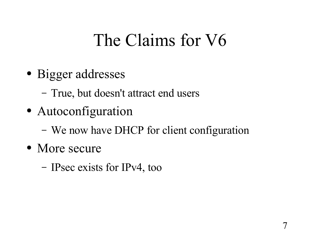## The Claims for V6

- Bigger addresses
	- True, but doesn't attract end users
- Autoconfiguration
	- We now have DHCP for client configuration
- More secure
	- IPsec exists for IPv4, too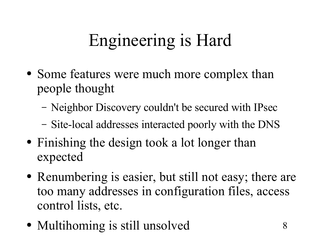## Engineering is Hard

- Some features were much more complex than people thought
	- Neighbor Discovery couldn't be secured with IPsec
	- Site-local addresses interacted poorly with the DNS
- Finishing the design took a lot longer than expected
- Renumbering is easier, but still not easy; there are too many addresses in configuration files, access control lists, etc.
- Multihoming is still unsolved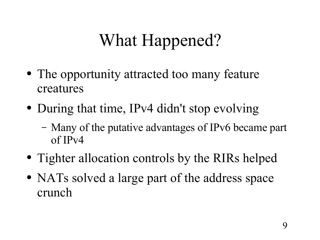## What Happened?

- The opportunity attracted too many feature creatures
- During that time, IPv4 didn't stop evolving
	- Many of the putative advantages of IPv6 became part of IPv4
- Tighter allocation controls by the RIRs helped
- NATs solved a large part of the address space crunch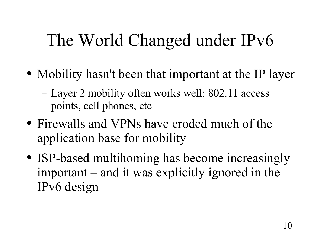## The World Changed under IPv6

- Mobility hasn't been that important at the IP layer
	- Layer 2 mobility often works well: 802.11 access points, cell phones, etc
- Firewalls and VPNs have eroded much of the application base for mobility
- ISP-based multihoming has become increasingly important – and it was explicitly ignored in the IPv6 design